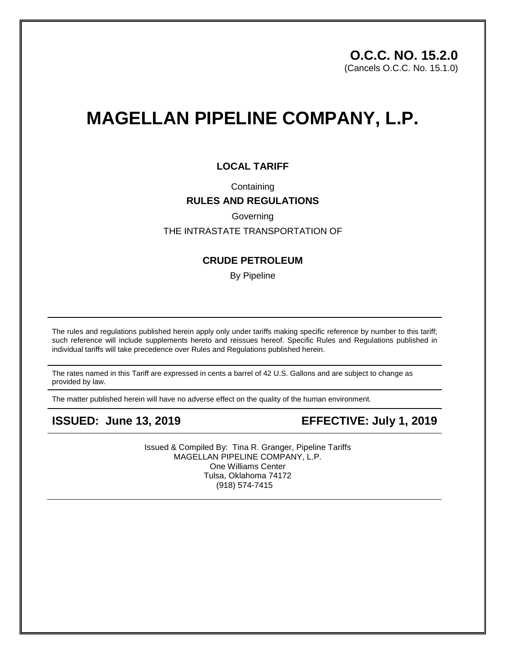# **MAGELLAN PIPELINE COMPANY, L.P.**

### **LOCAL TARIFF**

## **Containing RULES AND REGULATIONS**

Governing

#### THE INTRASTATE TRANSPORTATION OF

#### **CRUDE PETROLEUM**

By Pipeline

The rules and regulations published herein apply only under tariffs making specific reference by number to this tariff; such reference will include supplements hereto and reissues hereof. Specific Rules and Regulations published in individual tariffs will take precedence over Rules and Regulations published herein.

The rates named in this Tariff are expressed in cents a barrel of 42 U.S. Gallons and are subject to change as provided by law.

The matter published herein will have no adverse effect on the quality of the human environment.

**ISSUED: June 13, 2019 EFFECTIVE: July 1, 2019** 

Issued & Compiled By: Tina R. Granger, Pipeline Tariffs MAGELLAN PIPELINE COMPANY, L.P. One Williams Center Tulsa, Oklahoma 74172 (918) 574-7415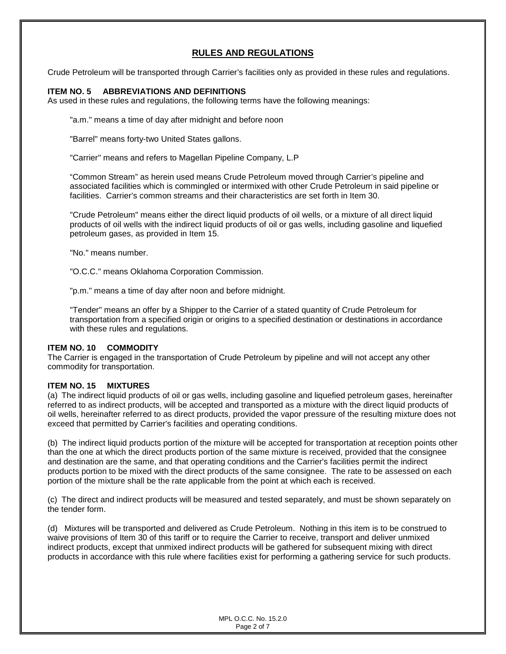#### **RULES AND REGULATIONS**

Crude Petroleum will be transported through Carrier's facilities only as provided in these rules and regulations.

#### **ITEM NO. 5 ABBREVIATIONS AND DEFINITIONS**

As used in these rules and regulations, the following terms have the following meanings:

"a.m." means a time of day after midnight and before noon

"Barrel" means forty-two United States gallons.

"Carrier" means and refers to Magellan Pipeline Company, L.P

"Common Stream" as herein used means Crude Petroleum moved through Carrier's pipeline and associated facilities which is commingled or intermixed with other Crude Petroleum in said pipeline or facilities. Carrier's common streams and their characteristics are set forth in Item 30.

"Crude Petroleum" means either the direct liquid products of oil wells, or a mixture of all direct liquid products of oil wells with the indirect liquid products of oil or gas wells, including gasoline and liquefied petroleum gases, as provided in Item 15.

"No." means number.

"O.C.C." means Oklahoma Corporation Commission.

"p.m." means a time of day after noon and before midnight.

"Tender" means an offer by a Shipper to the Carrier of a stated quantity of Crude Petroleum for transportation from a specified origin or origins to a specified destination or destinations in accordance with these rules and regulations.

#### **ITEM NO. 10 COMMODITY**

The Carrier is engaged in the transportation of Crude Petroleum by pipeline and will not accept any other commodity for transportation.

#### **ITEM NO. 15 MIXTURES**

(a) The indirect liquid products of oil or gas wells, including gasoline and liquefied petroleum gases, hereinafter referred to as indirect products, will be accepted and transported as a mixture with the direct liquid products of oil wells, hereinafter referred to as direct products, provided the vapor pressure of the resulting mixture does not exceed that permitted by Carrier's facilities and operating conditions.

(b) The indirect liquid products portion of the mixture will be accepted for transportation at reception points other than the one at which the direct products portion of the same mixture is received, provided that the consignee and destination are the same, and that operating conditions and the Carrier's facilities permit the indirect products portion to be mixed with the direct products of the same consignee. The rate to be assessed on each portion of the mixture shall be the rate applicable from the point at which each is received.

(c) The direct and indirect products will be measured and tested separately, and must be shown separately on the tender form.

(d) Mixtures will be transported and delivered as Crude Petroleum. Nothing in this item is to be construed to waive provisions of Item 30 of this tariff or to require the Carrier to receive, transport and deliver unmixed indirect products, except that unmixed indirect products will be gathered for subsequent mixing with direct products in accordance with this rule where facilities exist for performing a gathering service for such products.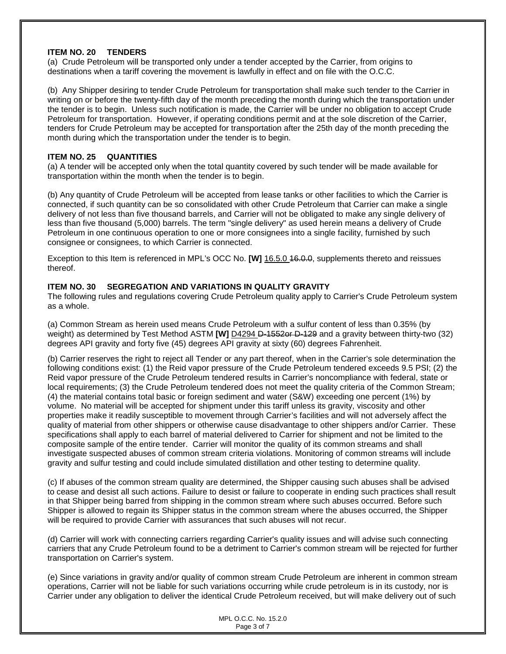#### **ITEM NO. 20 TENDERS**

(a) Crude Petroleum will be transported only under a tender accepted by the Carrier, from origins to destinations when a tariff covering the movement is lawfully in effect and on file with the O.C.C.

(b) Any Shipper desiring to tender Crude Petroleum for transportation shall make such tender to the Carrier in writing on or before the twenty-fifth day of the month preceding the month during which the transportation under the tender is to begin. Unless such notification is made, the Carrier will be under no obligation to accept Crude Petroleum for transportation. However, if operating conditions permit and at the sole discretion of the Carrier, tenders for Crude Petroleum may be accepted for transportation after the 25th day of the month preceding the month during which the transportation under the tender is to begin.

#### **ITEM NO. 25 QUANTITIES**

(a) A tender will be accepted only when the total quantity covered by such tender will be made available for transportation within the month when the tender is to begin.

(b) Any quantity of Crude Petroleum will be accepted from lease tanks or other facilities to which the Carrier is connected, if such quantity can be so consolidated with other Crude Petroleum that Carrier can make a single delivery of not less than five thousand barrels, and Carrier will not be obligated to make any single delivery of less than five thousand (5,000) barrels. The term "single delivery" as used herein means a delivery of Crude Petroleum in one continuous operation to one or more consignees into a single facility, furnished by such consignee or consignees, to which Carrier is connected.

Exception to this Item is referenced in MPL's OCC No. **[W]** 16.5.0 16.0.0, supplements thereto and reissues thereof.

#### **ITEM NO. 30 SEGREGATION AND VARIATIONS IN QUALITY GRAVITY**

The following rules and regulations covering Crude Petroleum quality apply to Carrier's Crude Petroleum system as a whole.

(a) Common Stream as herein used means Crude Petroleum with a sulfur content of less than 0.35% (by weight) as determined by Test Method ASTM **[W]** D4294 D-1552or D-129 and a gravity between thirty-two (32) degrees API gravity and forty five (45) degrees API gravity at sixty (60) degrees Fahrenheit.

(b) Carrier reserves the right to reject all Tender or any part thereof, when in the Carrier's sole determination the following conditions exist: (1) the Reid vapor pressure of the Crude Petroleum tendered exceeds 9.5 PSI; (2) the Reid vapor pressure of the Crude Petroleum tendered results in Carrier's noncompliance with federal, state or local requirements; (3) the Crude Petroleum tendered does not meet the quality criteria of the Common Stream; (4) the material contains total basic or foreign sediment and water (S&W) exceeding one percent (1%) by volume. No material will be accepted for shipment under this tariff unless its gravity, viscosity and other properties make it readily susceptible to movement through Carrier's facilities and will not adversely affect the quality of material from other shippers or otherwise cause disadvantage to other shippers and/or Carrier. These specifications shall apply to each barrel of material delivered to Carrier for shipment and not be limited to the composite sample of the entire tender. Carrier will monitor the quality of its common streams and shall investigate suspected abuses of common stream criteria violations. Monitoring of common streams will include gravity and sulfur testing and could include simulated distillation and other testing to determine quality.

(c) If abuses of the common stream quality are determined, the Shipper causing such abuses shall be advised to cease and desist all such actions. Failure to desist or failure to cooperate in ending such practices shall result in that Shipper being barred from shipping in the common stream where such abuses occurred. Before such Shipper is allowed to regain its Shipper status in the common stream where the abuses occurred, the Shipper will be required to provide Carrier with assurances that such abuses will not recur.

(d) Carrier will work with connecting carriers regarding Carrier's quality issues and will advise such connecting carriers that any Crude Petroleum found to be a detriment to Carrier's common stream will be rejected for further transportation on Carrier's system.

(e) Since variations in gravity and/or quality of common stream Crude Petroleum are inherent in common stream operations, Carrier will not be liable for such variations occurring while crude petroleum is in its custody, nor is Carrier under any obligation to deliver the identical Crude Petroleum received, but will make delivery out of such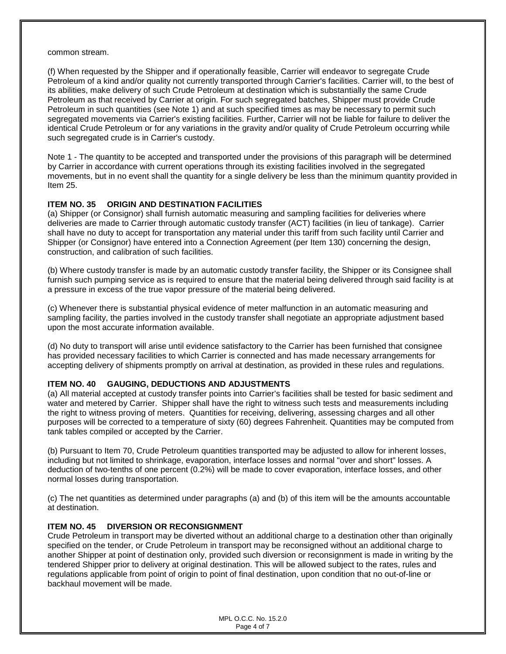#### common stream.

(f) When requested by the Shipper and if operationally feasible, Carrier will endeavor to segregate Crude Petroleum of a kind and/or quality not currently transported through Carrier's facilities. Carrier will, to the best of its abilities, make delivery of such Crude Petroleum at destination which is substantially the same Crude Petroleum as that received by Carrier at origin. For such segregated batches, Shipper must provide Crude Petroleum in such quantities (see Note 1) and at such specified times as may be necessary to permit such segregated movements via Carrier's existing facilities. Further, Carrier will not be liable for failure to deliver the identical Crude Petroleum or for any variations in the gravity and/or quality of Crude Petroleum occurring while such segregated crude is in Carrier's custody.

Note 1 - The quantity to be accepted and transported under the provisions of this paragraph will be determined by Carrier in accordance with current operations through its existing facilities involved in the segregated movements, but in no event shall the quantity for a single delivery be less than the minimum quantity provided in Item 25.

#### **ITEM NO. 35 ORIGIN AND DESTINATION FACILITIES**

(a) Shipper (or Consignor) shall furnish automatic measuring and sampling facilities for deliveries where deliveries are made to Carrier through automatic custody transfer (ACT) facilities (in lieu of tankage). Carrier shall have no duty to accept for transportation any material under this tariff from such facility until Carrier and Shipper (or Consignor) have entered into a Connection Agreement (per Item 130) concerning the design, construction, and calibration of such facilities.

(b) Where custody transfer is made by an automatic custody transfer facility, the Shipper or its Consignee shall furnish such pumping service as is required to ensure that the material being delivered through said facility is at a pressure in excess of the true vapor pressure of the material being delivered.

(c) Whenever there is substantial physical evidence of meter malfunction in an automatic measuring and sampling facility, the parties involved in the custody transfer shall negotiate an appropriate adjustment based upon the most accurate information available.

(d) No duty to transport will arise until evidence satisfactory to the Carrier has been furnished that consignee has provided necessary facilities to which Carrier is connected and has made necessary arrangements for accepting delivery of shipments promptly on arrival at destination, as provided in these rules and regulations.

#### **ITEM NO. 40 GAUGING, DEDUCTIONS AND ADJUSTMENTS**

(a) All material accepted at custody transfer points into Carrier's facilities shall be tested for basic sediment and water and metered by Carrier. Shipper shall have the right to witness such tests and measurements including the right to witness proving of meters. Quantities for receiving, delivering, assessing charges and all other purposes will be corrected to a temperature of sixty (60) degrees Fahrenheit. Quantities may be computed from tank tables compiled or accepted by the Carrier.

(b) Pursuant to Item 70, Crude Petroleum quantities transported may be adjusted to allow for inherent losses, including but not limited to shrinkage, evaporation, interface losses and normal "over and short" losses. A deduction of two-tenths of one percent (0.2%) will be made to cover evaporation, interface losses, and other normal losses during transportation.

(c) The net quantities as determined under paragraphs (a) and (b) of this item will be the amounts accountable at destination.

#### **ITEM NO. 45 DIVERSION OR RECONSIGNMENT**

Crude Petroleum in transport may be diverted without an additional charge to a destination other than originally specified on the tender, or Crude Petroleum in transport may be reconsigned without an additional charge to another Shipper at point of destination only, provided such diversion or reconsignment is made in writing by the tendered Shipper prior to delivery at original destination. This will be allowed subject to the rates, rules and regulations applicable from point of origin to point of final destination, upon condition that no out-of-line or backhaul movement will be made.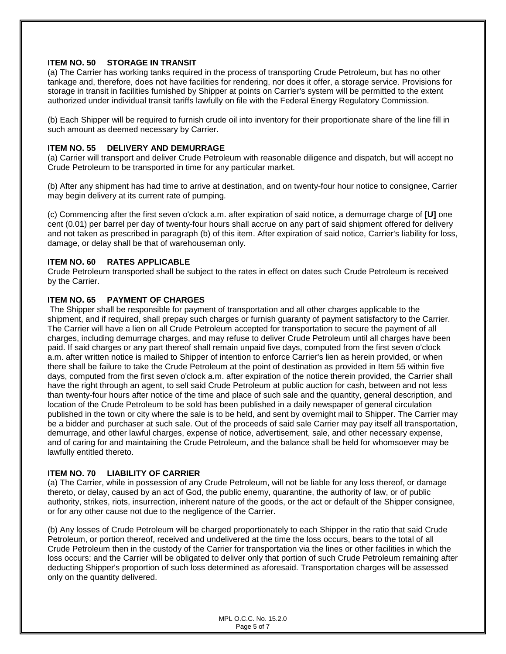#### **ITEM NO. 50 STORAGE IN TRANSIT**

(a) The Carrier has working tanks required in the process of transporting Crude Petroleum, but has no other tankage and, therefore, does not have facilities for rendering, nor does it offer, a storage service. Provisions for storage in transit in facilities furnished by Shipper at points on Carrier's system will be permitted to the extent authorized under individual transit tariffs lawfully on file with the Federal Energy Regulatory Commission.

(b) Each Shipper will be required to furnish crude oil into inventory for their proportionate share of the line fill in such amount as deemed necessary by Carrier.

#### **ITEM NO. 55 DELIVERY AND DEMURRAGE**

(a) Carrier will transport and deliver Crude Petroleum with reasonable diligence and dispatch, but will accept no Crude Petroleum to be transported in time for any particular market.

(b) After any shipment has had time to arrive at destination, and on twenty-four hour notice to consignee, Carrier may begin delivery at its current rate of pumping.

(c) Commencing after the first seven o'clock a.m. after expiration of said notice, a demurrage charge of **[U]** one cent (0.01) per barrel per day of twenty-four hours shall accrue on any part of said shipment offered for delivery and not taken as prescribed in paragraph (b) of this item. After expiration of said notice, Carrier's liability for loss, damage, or delay shall be that of warehouseman only.

#### **ITEM NO. 60 RATES APPLICABLE**

Crude Petroleum transported shall be subject to the rates in effect on dates such Crude Petroleum is received by the Carrier.

#### **ITEM NO. 65 PAYMENT OF CHARGES**

The Shipper shall be responsible for payment of transportation and all other charges applicable to the shipment, and if required, shall prepay such charges or furnish guaranty of payment satisfactory to the Carrier. The Carrier will have a lien on all Crude Petroleum accepted for transportation to secure the payment of all charges, including demurrage charges, and may refuse to deliver Crude Petroleum until all charges have been paid. If said charges or any part thereof shall remain unpaid five days, computed from the first seven o'clock a.m. after written notice is mailed to Shipper of intention to enforce Carrier's lien as herein provided, or when there shall be failure to take the Crude Petroleum at the point of destination as provided in Item 55 within five days, computed from the first seven o'clock a.m. after expiration of the notice therein provided, the Carrier shall have the right through an agent, to sell said Crude Petroleum at public auction for cash, between and not less than twenty-four hours after notice of the time and place of such sale and the quantity, general description, and location of the Crude Petroleum to be sold has been published in a daily newspaper of general circulation published in the town or city where the sale is to be held, and sent by overnight mail to Shipper. The Carrier may be a bidder and purchaser at such sale. Out of the proceeds of said sale Carrier may pay itself all transportation, demurrage, and other lawful charges, expense of notice, advertisement, sale, and other necessary expense, and of caring for and maintaining the Crude Petroleum, and the balance shall be held for whomsoever may be lawfully entitled thereto.

#### **ITEM NO. 70 LIABILITY OF CARRIER**

(a) The Carrier, while in possession of any Crude Petroleum, will not be liable for any loss thereof, or damage thereto, or delay, caused by an act of God, the public enemy, quarantine, the authority of law, or of public authority, strikes, riots, insurrection, inherent nature of the goods, or the act or default of the Shipper consignee, or for any other cause not due to the negligence of the Carrier.

(b) Any losses of Crude Petroleum will be charged proportionately to each Shipper in the ratio that said Crude Petroleum, or portion thereof, received and undelivered at the time the loss occurs, bears to the total of all Crude Petroleum then in the custody of the Carrier for transportation via the lines or other facilities in which the loss occurs; and the Carrier will be obligated to deliver only that portion of such Crude Petroleum remaining after deducting Shipper's proportion of such loss determined as aforesaid. Transportation charges will be assessed only on the quantity delivered.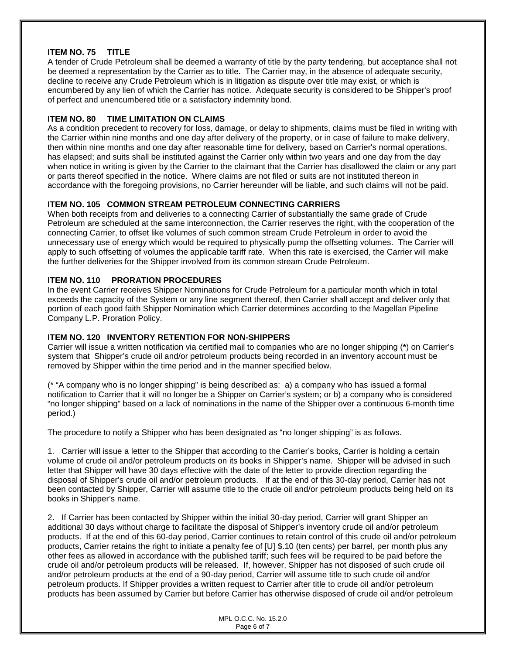#### **ITEM NO. 75 TITLE**

A tender of Crude Petroleum shall be deemed a warranty of title by the party tendering, but acceptance shall not be deemed a representation by the Carrier as to title. The Carrier may, in the absence of adequate security, decline to receive any Crude Petroleum which is in litigation as dispute over title may exist, or which is encumbered by any lien of which the Carrier has notice. Adequate security is considered to be Shipper's proof of perfect and unencumbered title or a satisfactory indemnity bond.

#### **ITEM NO. 80 TIME LIMITATION ON CLAIMS**

As a condition precedent to recovery for loss, damage, or delay to shipments, claims must be filed in writing with the Carrier within nine months and one day after delivery of the property, or in case of failure to make delivery, then within nine months and one day after reasonable time for delivery, based on Carrier's normal operations, has elapsed; and suits shall be instituted against the Carrier only within two years and one day from the day when notice in writing is given by the Carrier to the claimant that the Carrier has disallowed the claim or any part or parts thereof specified in the notice. Where claims are not filed or suits are not instituted thereon in accordance with the foregoing provisions, no Carrier hereunder will be liable, and such claims will not be paid.

#### **ITEM NO. 105 COMMON STREAM PETROLEUM CONNECTING CARRIERS**

When both receipts from and deliveries to a connecting Carrier of substantially the same grade of Crude Petroleum are scheduled at the same interconnection, the Carrier reserves the right, with the cooperation of the connecting Carrier, to offset like volumes of such common stream Crude Petroleum in order to avoid the unnecessary use of energy which would be required to physically pump the offsetting volumes. The Carrier will apply to such offsetting of volumes the applicable tariff rate. When this rate is exercised, the Carrier will make the further deliveries for the Shipper involved from its common stream Crude Petroleum.

#### **ITEM NO. 110 PRORATION PROCEDURES**

In the event Carrier receives Shipper Nominations for Crude Petroleum for a particular month which in total exceeds the capacity of the System or any line segment thereof, then Carrier shall accept and deliver only that portion of each good faith Shipper Nomination which Carrier determines according to the Magellan Pipeline Company L.P. Proration Policy.

#### **ITEM NO. 120 INVENTORY RETENTION FOR NON-SHIPPERS**

Carrier will issue a written notification via certified mail to companies who are no longer shipping (**\***) on Carrier's system that Shipper's crude oil and/or petroleum products being recorded in an inventory account must be removed by Shipper within the time period and in the manner specified below.

(\* "A company who is no longer shipping" is being described as: a) a company who has issued a formal notification to Carrier that it will no longer be a Shipper on Carrier's system; or b) a company who is considered "no longer shipping" based on a lack of nominations in the name of the Shipper over a continuous 6-month time period.)

The procedure to notify a Shipper who has been designated as "no longer shipping" is as follows.

1. Carrier will issue a letter to the Shipper that according to the Carrier's books, Carrier is holding a certain volume of crude oil and/or petroleum products on its books in Shipper's name. Shipper will be advised in such letter that Shipper will have 30 days effective with the date of the letter to provide direction regarding the disposal of Shipper's crude oil and/or petroleum products. If at the end of this 30-day period, Carrier has not been contacted by Shipper, Carrier will assume title to the crude oil and/or petroleum products being held on its books in Shipper's name.

2. If Carrier has been contacted by Shipper within the initial 30-day period, Carrier will grant Shipper an additional 30 days without charge to facilitate the disposal of Shipper's inventory crude oil and/or petroleum products. If at the end of this 60-day period, Carrier continues to retain control of this crude oil and/or petroleum products, Carrier retains the right to initiate a penalty fee of [U] \$.10 (ten cents) per barrel, per month plus any other fees as allowed in accordance with the published tariff; such fees will be required to be paid before the crude oil and/or petroleum products will be released. If, however, Shipper has not disposed of such crude oil and/or petroleum products at the end of a 90-day period, Carrier will assume title to such crude oil and/or petroleum products. If Shipper provides a written request to Carrier after title to crude oil and/or petroleum products has been assumed by Carrier but before Carrier has otherwise disposed of crude oil and/or petroleum